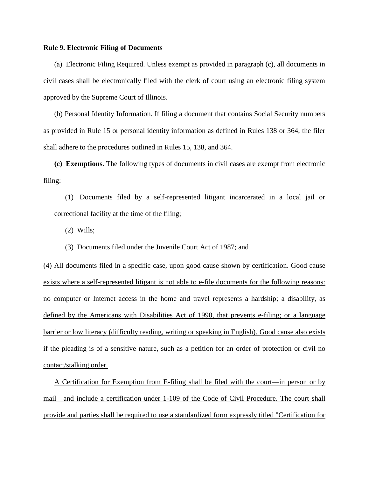## **Rule 9. Electronic Filing of Documents**

 (a) Electronic Filing Required. Unless exempt as provided in paragraph (c), all documents in civil cases shall be electronically filed with the clerk of court using an electronic filing system approved by the Supreme Court of Illinois.

 (b) Personal Identity Information. If filing a document that contains Social Security numbers as provided in Rule 15 or personal identity information as defined in Rules 138 or 364, the filer shall adhere to the procedures outlined in Rules 15, 138, and 364.

 **(c) Exemptions.** The following types of documents in civil cases are exempt from electronic filing:

 (1) Documents filed by a self-represented litigant incarcerated in a local jail or correctional facility at the time of the filing;

(2) Wills;

(3) Documents filed under the Juvenile Court Act of 1987; and

(4) All documents filed in a specific case, upon good cause shown by certification. Good cause exists where a self-represented litigant is not able to e-file documents for the following reasons: no computer or Internet access in the home and travel represents a hardship; a disability, as defined by the Americans with Disabilities Act of 1990, that prevents e-filing; or a language barrier or low literacy (difficulty reading, writing or speaking in English). Good cause also exists if the pleading is of a sensitive nature, such as a petition for an order of protection or civil no contact/stalking order.

A Certification for Exemption from E-filing shall be filed with the court—in person or by mail—and include a certification under 1-109 of the Code of Civil Procedure. The court shall provide and parties shall be required to use a standardized form expressly titled "Certification for